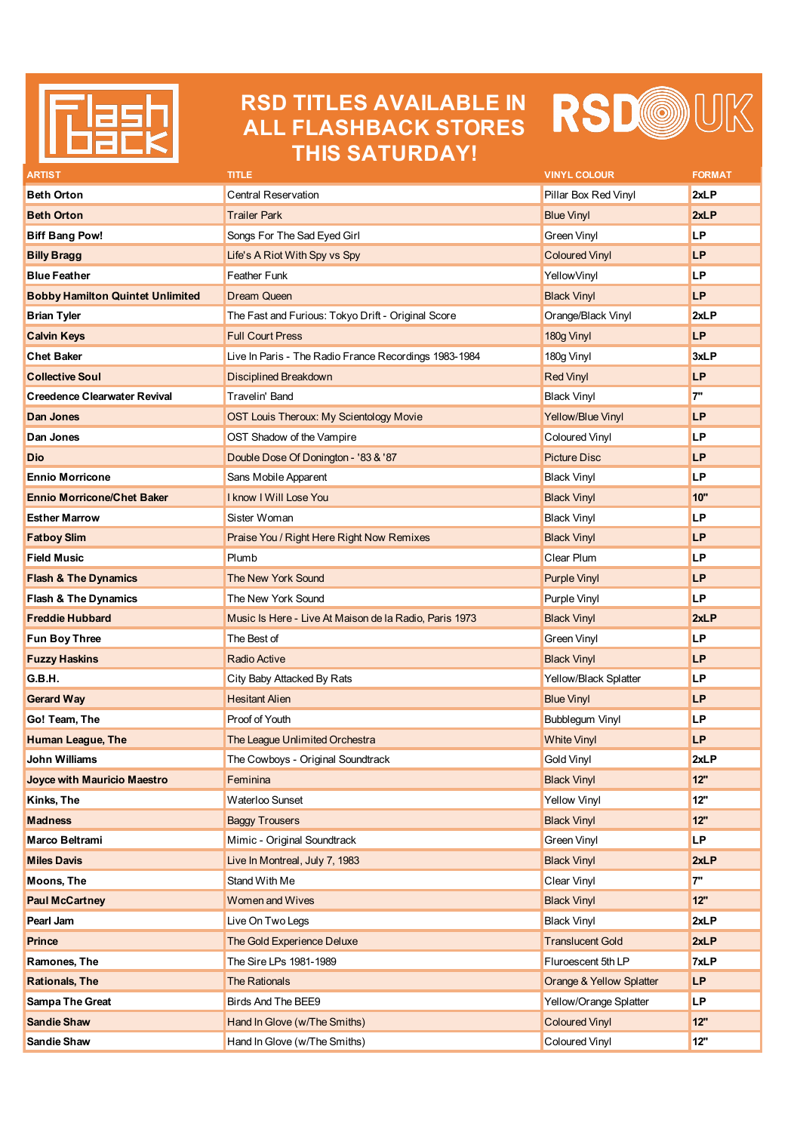

## **RSD TITLES AVAILABLE IN ALL FLASHBACK STORES THIS SATURDAY!**



| ARTIST                                  | TITLE                                                  | <b>VINYL COLOUR</b>                 | <b>FORMAT</b> |
|-----------------------------------------|--------------------------------------------------------|-------------------------------------|---------------|
| <b>Beth Orton</b>                       | <b>Central Reservation</b>                             | Pillar Box Red Vinyl                | 2xLP          |
| <b>Beth Orton</b>                       | <b>Trailer Park</b>                                    | <b>Blue Vinyl</b>                   | 2xLP          |
| <b>Biff Bang Pow!</b>                   | Songs For The Sad Eyed Girl                            | Green Vinyl                         | <b>LP</b>     |
| <b>Billy Bragg</b>                      | Life's A Riot With Spy vs Spy                          | <b>Coloured Vinyl</b>               | <b>LP</b>     |
| <b>Blue Feather</b>                     | Feather Funk                                           | YellowVinyl                         | <b>LP</b>     |
| <b>Bobby Hamilton Quintet Unlimited</b> | <b>Dream Queen</b>                                     | <b>Black Vinyl</b>                  | <b>LP</b>     |
| <b>Brian Tyler</b>                      | The Fast and Furious: Tokyo Drift - Original Score     | Orange/Black Vinyl                  | 2xLP          |
| <b>Calvin Keys</b>                      | <b>Full Court Press</b>                                | 180g Vinyl                          | <b>LP</b>     |
| <b>Chet Baker</b>                       | Live In Paris - The Radio France Recordings 1983-1984  | 180g Vinyl                          | 3xLP          |
| <b>Collective Soul</b>                  | Disciplined Breakdown                                  | <b>Red Vinyl</b>                    | <b>LP</b>     |
| <b>Creedence Clearwater Revival</b>     | Travelin' Band                                         | <b>Black Vinyl</b>                  | 7"            |
| Dan Jones                               | OST Louis Theroux: My Scientology Movie                | Yellow/Blue Vinyl                   | LP            |
| Dan Jones                               | OST Shadow of the Vampire                              | Coloured Vinyl                      | LP            |
| Dio                                     | Double Dose Of Donington - '83 & '87                   | <b>Picture Disc</b>                 | <b>LP</b>     |
| <b>Ennio Morricone</b>                  | Sans Mobile Apparent                                   | <b>Black Vinyl</b>                  | LP            |
| <b>Ennio Morricone/Chet Baker</b>       | <b>I know I Will Lose You</b>                          | <b>Black Vinyl</b>                  | 10"           |
| <b>Esther Marrow</b>                    | Sister Woman                                           | <b>Black Vinyl</b>                  | LP            |
| <b>Fatboy Slim</b>                      | Praise You / Right Here Right Now Remixes              | <b>Black Vinyl</b>                  | <b>LP</b>     |
| <b>Field Music</b>                      | Plumb                                                  | Clear Plum                          | LP            |
| <b>Flash &amp; The Dynamics</b>         | <b>The New York Sound</b>                              | <b>Purple Vinyl</b>                 | <b>LP</b>     |
| <b>Flash &amp; The Dynamics</b>         | The New York Sound                                     | Purple Vinyl                        | <b>LP</b>     |
| <b>Freddie Hubbard</b>                  | Music Is Here - Live At Maison de la Radio, Paris 1973 | <b>Black Vinyl</b>                  | 2xLP          |
| <b>Fun Boy Three</b>                    | The Best of                                            | Green Vinyl                         | <b>LP</b>     |
| <b>Fuzzy Haskins</b>                    | <b>Radio Active</b>                                    | <b>Black Vinyl</b>                  | <b>LP</b>     |
| G.B.H.                                  | City Baby Attacked By Rats                             | Yellow/Black Splatter               | LP            |
| <b>Gerard Way</b>                       | <b>Hesitant Alien</b>                                  | <b>Blue Vinyl</b>                   | <b>LP</b>     |
| Go! Team, The                           | Proof of Youth                                         | Bubblegum Vinyl                     | LP            |
| Human League, The                       | The League Unlimited Orchestra                         | <b>White Vinyl</b>                  | <b>LP</b>     |
| John Williams                           | The Cowboys - Original Soundtrack                      | Gold Vinyl                          | 2xLP          |
| Joyce with Mauricio Maestro             | Feminina                                               | <b>Black Vinyl</b>                  | 12"           |
| Kinks, The                              | Waterloo Sunset                                        | <b>Yellow Vinyl</b>                 | 12"           |
| <b>Madness</b>                          | <b>Baggy Trousers</b>                                  | <b>Black Vinyl</b>                  | 12"           |
| Marco Beltrami                          | Mimic - Original Soundtrack                            | Green Vinyl                         | <b>LP</b>     |
| <b>Miles Davis</b>                      | Live In Montreal, July 7, 1983                         | <b>Black Vinyl</b>                  | 2xLP          |
| <b>Moons, The</b>                       | Stand With Me                                          | Clear Vinyl                         | 7"            |
| <b>Paul McCartney</b>                   | <b>Women and Wives</b>                                 | <b>Black Vinyl</b>                  | 12"           |
| Pearl Jam                               | Live On Two Legs                                       | <b>Black Vinyl</b>                  | 2xLP          |
| Prince                                  | The Gold Experience Deluxe                             | <b>Translucent Gold</b>             | 2xLP          |
| Ramones, The                            | The Sire LPs 1981-1989                                 | Fluroescent 5th LP                  | 7xLP          |
| <b>Rationals, The</b>                   | <b>The Rationals</b>                                   | <b>Orange &amp; Yellow Splatter</b> | LP            |
| <b>Sampa The Great</b>                  | Birds And The BEE9                                     | Yellow/Orange Splatter              | <b>LP</b>     |
| <b>Sandie Shaw</b>                      | Hand In Glove (w/The Smiths)                           | <b>Coloured Vinyl</b>               | 12"           |
| <b>Sandie Shaw</b>                      | Hand In Glove (w/The Smiths)                           | Coloured Vinyl                      | 12"           |